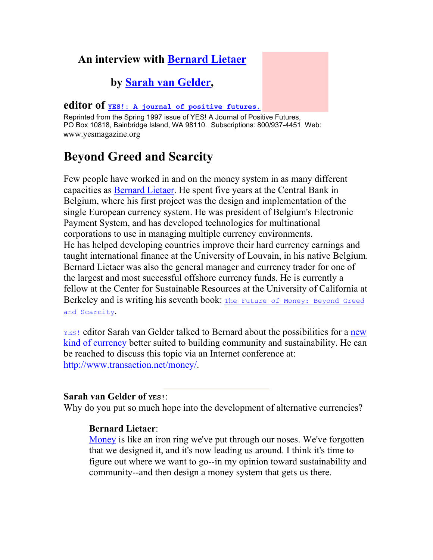# **An interview with Bernard Lietaer**

# **by Sarah van Gelder,**

**editor of YES!: A journal of positive futures.**

Reprinted from the Spring 1997 issue of YES! A Journal of Positive Futures, PO Box 10818, Bainbridge Island, WA 98110. Subscriptions: 800/937-4451 Web: www.yesmagazine.org

# **Beyond Greed and Scarcity**

Few people have worked in and on the money system in as many different capacities as Bernard Lietaer. He spent five years at the Central Bank in Belgium, where his first project was the design and implementation of the single European currency system. He was president of Belgium's Electronic Payment System, and has developed technologies for multinational corporations to use in managing multiple currency environments. He has helped developing countries improve their hard currency earnings and taught international finance at the University of Louvain, in his native Belgium. Bernard Lietaer was also the general manager and currency trader for one of the largest and most successful offshore currency funds. He is currently a fellow at the Center for Sustainable Resources at the University of California at Berkeley and is writing his seventh book: The Future of Money: Beyond Greed and Scarcity.

YES! editor Sarah van Gelder talked to Bernard about the possibilities for a new kind of currency better suited to building community and sustainability. He can be reached to discuss this topic via an Internet conference at: http://www.transaction.net/money/.

# Sarah van Gelder of **YES!**:

Why do you put so much hope into the development of alternative currencies?

# **Bernard Lietaer**:

Money is like an iron ring we've put through our noses. We've forgotten that we designed it, and it's now leading us around. I think it's time to figure out where we want to go--in my opinion toward sustainability and community--and then design a money system that gets us there.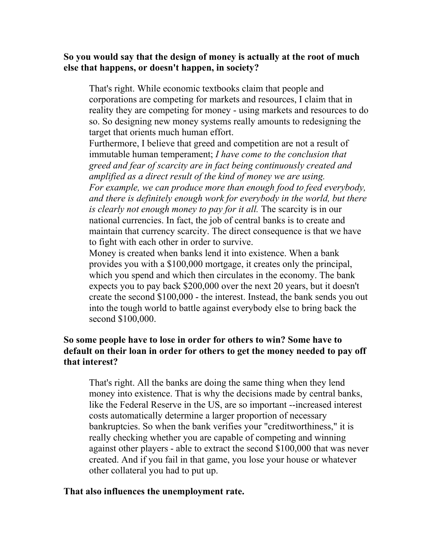#### **So you would say that the design of money is actually at the root of much else that happens, or doesn't happen, in society?**

That's right. While economic textbooks claim that people and corporations are competing for markets and resources, I claim that in reality they are competing for money - using markets and resources to do so. So designing new money systems really amounts to redesigning the target that orients much human effort.

Furthermore, I believe that greed and competition are not a result of immutable human temperament; *I have come to the conclusion that greed and fear of scarcity are in fact being continuously created and amplified as a direct result of the kind of money we are using. For example, we can produce more than enough food to feed everybody, and there is definitely enough work for everybody in the world, but there is clearly not enough money to pay for it all.* The scarcity is in our national currencies. In fact, the job of central banks is to create and maintain that currency scarcity. The direct consequence is that we have to fight with each other in order to survive.

Money is created when banks lend it into existence. When a bank provides you with a \$100,000 mortgage, it creates only the principal, which you spend and which then circulates in the economy. The bank expects you to pay back \$200,000 over the next 20 years, but it doesn't create the second \$100,000 - the interest. Instead, the bank sends you out into the tough world to battle against everybody else to bring back the second \$100,000.

## **So some people have to lose in order for others to win? Some have to default on their loan in order for others to get the money needed to pay off that interest?**

That's right. All the banks are doing the same thing when they lend money into existence. That is why the decisions made by central banks, like the Federal Reserve in the US, are so important --increased interest costs automatically determine a larger proportion of necessary bankruptcies. So when the bank verifies your "creditworthiness," it is really checking whether you are capable of competing and winning against other players - able to extract the second \$100,000 that was never created. And if you fail in that game, you lose your house or whatever other collateral you had to put up.

#### **That also influences the unemployment rate.**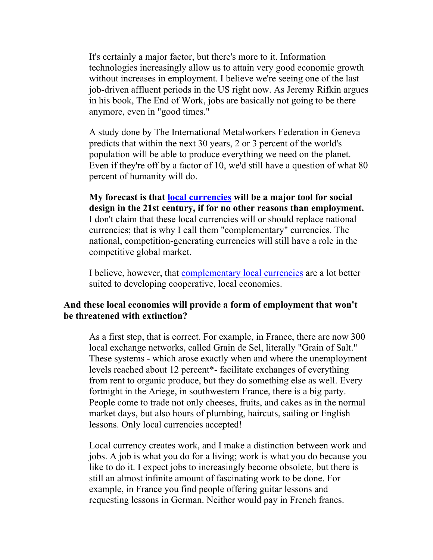It's certainly a major factor, but there's more to it. Information technologies increasingly allow us to attain very good economic growth without increases in employment. I believe we're seeing one of the last job-driven affluent periods in the US right now. As Jeremy Rifkin argues in his book, The End of Work, jobs are basically not going to be there anymore, even in "good times."

A study done by The International Metalworkers Federation in Geneva predicts that within the next 30 years, 2 or 3 percent of the world's population will be able to produce everything we need on the planet. Even if they're off by a factor of 10, we'd still have a question of what 80 percent of humanity will do.

**My forecast is that local currencies will be a major tool for social design in the 21st century, if for no other reasons than employment.**  I don't claim that these local currencies will or should replace national currencies; that is why I call them "complementary" currencies. The national, competition-generating currencies will still have a role in the competitive global market.

I believe, however, that complementary local currencies are a lot better suited to developing cooperative, local economies.

#### **And these local economies will provide a form of employment that won't be threatened with extinction?**

As a first step, that is correct. For example, in France, there are now 300 local exchange networks, called Grain de Sel, literally "Grain of Salt." These systems - which arose exactly when and where the unemployment levels reached about 12 percent\*- facilitate exchanges of everything from rent to organic produce, but they do something else as well. Every fortnight in the Ariege, in southwestern France, there is a big party. People come to trade not only cheeses, fruits, and cakes as in the normal market days, but also hours of plumbing, haircuts, sailing or English lessons. Only local currencies accepted!

Local currency creates work, and I make a distinction between work and jobs. A job is what you do for a living; work is what you do because you like to do it. I expect jobs to increasingly become obsolete, but there is still an almost infinite amount of fascinating work to be done. For example, in France you find people offering guitar lessons and requesting lessons in German. Neither would pay in French francs.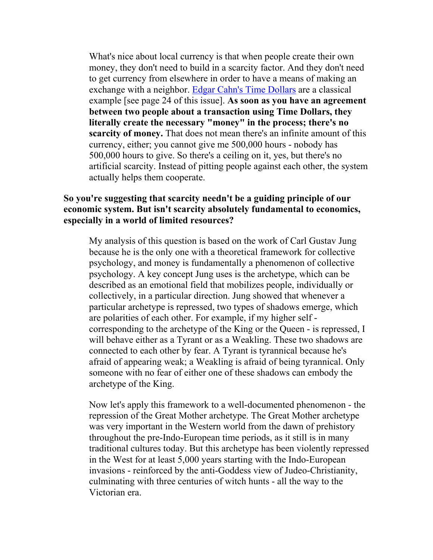What's nice about local currency is that when people create their own money, they don't need to build in a scarcity factor. And they don't need to get currency from elsewhere in order to have a means of making an exchange with a neighbor. Edgar Cahn's Time Dollars are a classical example [see page 24 of this issue]. **As soon as you have an agreement between two people about a transaction using Time Dollars, they literally create the necessary "money" in the process; there's no scarcity of money.** That does not mean there's an infinite amount of this currency, either; you cannot give me 500,000 hours - nobody has 500,000 hours to give. So there's a ceiling on it, yes, but there's no artificial scarcity. Instead of pitting people against each other, the system actually helps them cooperate.

#### **So you're suggesting that scarcity needn't be a guiding principle of our economic system. But isn't scarcity absolutely fundamental to economics, especially in a world of limited resources?**

My analysis of this question is based on the work of Carl Gustav Jung because he is the only one with a theoretical framework for collective psychology, and money is fundamentally a phenomenon of collective psychology. A key concept Jung uses is the archetype, which can be described as an emotional field that mobilizes people, individually or collectively, in a particular direction. Jung showed that whenever a particular archetype is repressed, two types of shadows emerge, which are polarities of each other. For example, if my higher self corresponding to the archetype of the King or the Queen - is repressed, I will behave either as a Tyrant or as a Weakling. These two shadows are connected to each other by fear. A Tyrant is tyrannical because he's afraid of appearing weak; a Weakling is afraid of being tyrannical. Only someone with no fear of either one of these shadows can embody the archetype of the King.

Now let's apply this framework to a well-documented phenomenon - the repression of the Great Mother archetype. The Great Mother archetype was very important in the Western world from the dawn of prehistory throughout the pre-Indo-European time periods, as it still is in many traditional cultures today. But this archetype has been violently repressed in the West for at least 5,000 years starting with the Indo-European invasions - reinforced by the anti-Goddess view of Judeo-Christianity, culminating with three centuries of witch hunts - all the way to the Victorian era.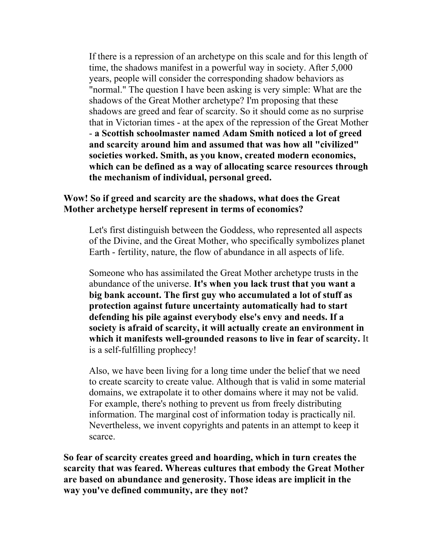If there is a repression of an archetype on this scale and for this length of time, the shadows manifest in a powerful way in society. After 5,000 years, people will consider the corresponding shadow behaviors as "normal." The question I have been asking is very simple: What are the shadows of the Great Mother archetype? I'm proposing that these shadows are greed and fear of scarcity. So it should come as no surprise that in Victorian times - at the apex of the repression of the Great Mother - **a Scottish schoolmaster named Adam Smith noticed a lot of greed and scarcity around him and assumed that was how all "civilized" societies worked. Smith, as you know, created modern economics, which can be defined as a way of allocating scarce resources through the mechanism of individual, personal greed.**

**Wow! So if greed and scarcity are the shadows, what does the Great Mother archetype herself represent in terms of economics?**

Let's first distinguish between the Goddess, who represented all aspects of the Divine, and the Great Mother, who specifically symbolizes planet Earth - fertility, nature, the flow of abundance in all aspects of life.

Someone who has assimilated the Great Mother archetype trusts in the abundance of the universe. **It's when you lack trust that you want a big bank account. The first guy who accumulated a lot of stuff as protection against future uncertainty automatically had to start defending his pile against everybody else's envy and needs. If a society is afraid of scarcity, it will actually create an environment in which it manifests well-grounded reasons to live in fear of scarcity.** It is a self-fulfilling prophecy!

Also, we have been living for a long time under the belief that we need to create scarcity to create value. Although that is valid in some material domains, we extrapolate it to other domains where it may not be valid. For example, there's nothing to prevent us from freely distributing information. The marginal cost of information today is practically nil. Nevertheless, we invent copyrights and patents in an attempt to keep it scarce.

**So fear of scarcity creates greed and hoarding, which in turn creates the scarcity that was feared. Whereas cultures that embody the Great Mother are based on abundance and generosity. Those ideas are implicit in the way you've defined community, are they not?**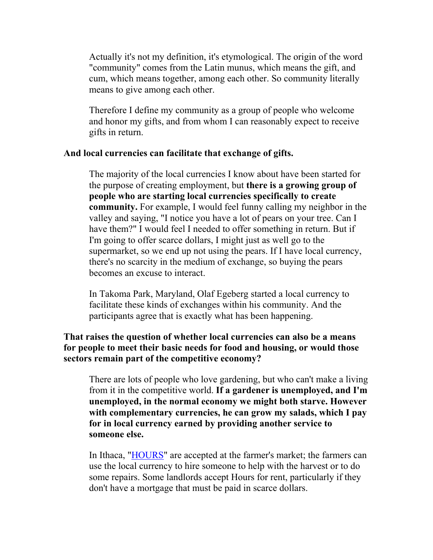Actually it's not my definition, it's etymological. The origin of the word "community" comes from the Latin munus, which means the gift, and cum, which means together, among each other. So community literally means to give among each other.

Therefore I define my community as a group of people who welcome and honor my gifts, and from whom I can reasonably expect to receive gifts in return.

#### **And local currencies can facilitate that exchange of gifts.**

The majority of the local currencies I know about have been started for the purpose of creating employment, but **there is a growing group of people who are starting local currencies specifically to create community.** For example, I would feel funny calling my neighbor in the valley and saying, "I notice you have a lot of pears on your tree. Can I have them?" I would feel I needed to offer something in return. But if I'm going to offer scarce dollars, I might just as well go to the supermarket, so we end up not using the pears. If I have local currency, there's no scarcity in the medium of exchange, so buying the pears becomes an excuse to interact.

In Takoma Park, Maryland, Olaf Egeberg started a local currency to facilitate these kinds of exchanges within his community. And the participants agree that is exactly what has been happening.

### **That raises the question of whether local currencies can also be a means for people to meet their basic needs for food and housing, or would those sectors remain part of the competitive economy?**

There are lots of people who love gardening, but who can't make a living from it in the competitive world. **If a gardener is unemployed, and I'm unemployed, in the normal economy we might both starve. However with complementary currencies, he can grow my salads, which I pay for in local currency earned by providing another service to someone else.**

In Ithaca, "HOURS" are accepted at the farmer's market; the farmers can use the local currency to hire someone to help with the harvest or to do some repairs. Some landlords accept Hours for rent, particularly if they don't have a mortgage that must be paid in scarce dollars.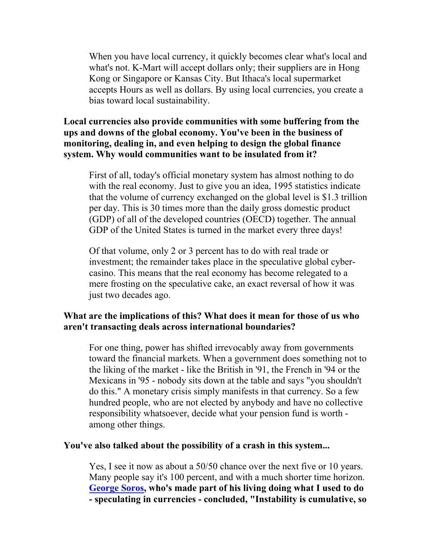When you have local currency, it quickly becomes clear what's local and what's not. K-Mart will accept dollars only; their suppliers are in Hong Kong or Singapore or Kansas City. But Ithaca's local supermarket accepts Hours as well as dollars. By using local currencies, you create a bias toward local sustainability.

#### **Local currencies also provide communities with some buffering from the ups and downs of the global economy. You've been in the business of monitoring, dealing in, and even helping to design the global finance system. Why would communities want to be insulated from it?**

First of all, today's official monetary system has almost nothing to do with the real economy. Just to give you an idea, 1995 statistics indicate that the volume of currency exchanged on the global level is \$1.3 trillion per day. This is 30 times more than the daily gross domestic product (GDP) of all of the developed countries (OECD) together. The annual GDP of the United States is turned in the market every three days!

Of that volume, only 2 or 3 percent has to do with real trade or investment; the remainder takes place in the speculative global cybercasino. This means that the real economy has become relegated to a mere frosting on the speculative cake, an exact reversal of how it was just two decades ago.

## **What are the implications of this? What does it mean for those of us who aren't transacting deals across international boundaries?**

For one thing, power has shifted irrevocably away from governments toward the financial markets. When a government does something not to the liking of the market - like the British in '91, the French in '94 or the Mexicans in '95 - nobody sits down at the table and says "you shouldn't do this." A monetary crisis simply manifests in that currency. So a few hundred people, who are not elected by anybody and have no collective responsibility whatsoever, decide what your pension fund is worth among other things.

#### **You've also talked about the possibility of a crash in this system...**

Yes, I see it now as about a 50/50 chance over the next five or 10 years. Many people say it's 100 percent, and with a much shorter time horizon. **George Soros, who's made part of his living doing what I used to do - speculating in currencies - concluded, "Instability is cumulative, so**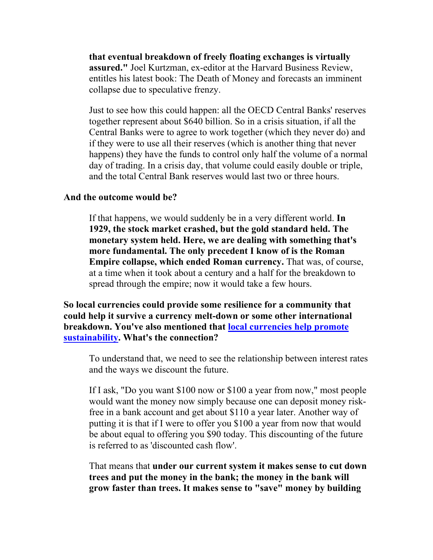**that eventual breakdown of freely floating exchanges is virtually assured."** Joel Kurtzman, ex-editor at the Harvard Business Review, entitles his latest book: The Death of Money and forecasts an imminent collapse due to speculative frenzy.

Just to see how this could happen: all the OECD Central Banks' reserves together represent about \$640 billion. So in a crisis situation, if all the Central Banks were to agree to work together (which they never do) and if they were to use all their reserves (which is another thing that never happens) they have the funds to control only half the volume of a normal day of trading. In a crisis day, that volume could easily double or triple, and the total Central Bank reserves would last two or three hours.

#### **And the outcome would be?**

If that happens, we would suddenly be in a very different world. **In 1929, the stock market crashed, but the gold standard held. The monetary system held. Here, we are dealing with something that's more fundamental. The only precedent I know of is the Roman Empire collapse, which ended Roman currency.** That was, of course, at a time when it took about a century and a half for the breakdown to spread through the empire; now it would take a few hours.

**So local currencies could provide some resilience for a community that could help it survive a currency melt-down or some other international breakdown. You've also mentioned that local currencies help promote sustainability. What's the connection?**

To understand that, we need to see the relationship between interest rates and the ways we discount the future.

If I ask, "Do you want \$100 now or \$100 a year from now," most people would want the money now simply because one can deposit money riskfree in a bank account and get about \$110 a year later. Another way of putting it is that if I were to offer you \$100 a year from now that would be about equal to offering you \$90 today. This discounting of the future is referred to as 'discounted cash flow'.

That means that **under our current system it makes sense to cut down trees and put the money in the bank; the money in the bank will grow faster than trees. It makes sense to "save" money by building**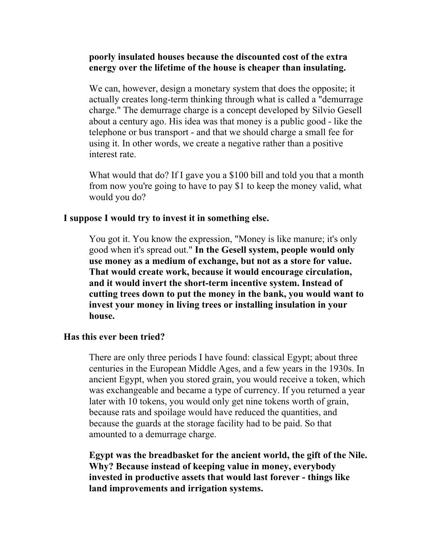#### **poorly insulated houses because the discounted cost of the extra energy over the lifetime of the house is cheaper than insulating.**

We can, however, design a monetary system that does the opposite; it actually creates long-term thinking through what is called a "demurrage charge." The demurrage charge is a concept developed by Silvio Gesell about a century ago. His idea was that money is a public good - like the telephone or bus transport - and that we should charge a small fee for using it. In other words, we create a negative rather than a positive interest rate.

What would that do? If I gave you a \$100 bill and told you that a month from now you're going to have to pay \$1 to keep the money valid, what would you do?

#### **I suppose I would try to invest it in something else.**

You got it. You know the expression, "Money is like manure; it's only good when it's spread out." **In the Gesell system, people would only use money as a medium of exchange, but not as a store for value. That would create work, because it would encourage circulation, and it would invert the short-term incentive system. Instead of cutting trees down to put the money in the bank, you would want to invest your money in living trees or installing insulation in your house.**

#### **Has this ever been tried?**

There are only three periods I have found: classical Egypt; about three centuries in the European Middle Ages, and a few years in the 1930s. In ancient Egypt, when you stored grain, you would receive a token, which was exchangeable and became a type of currency. If you returned a year later with 10 tokens, you would only get nine tokens worth of grain, because rats and spoilage would have reduced the quantities, and because the guards at the storage facility had to be paid. So that amounted to a demurrage charge.

**Egypt was the breadbasket for the ancient world, the gift of the Nile. Why? Because instead of keeping value in money, everybody invested in productive assets that would last forever - things like land improvements and irrigation systems.**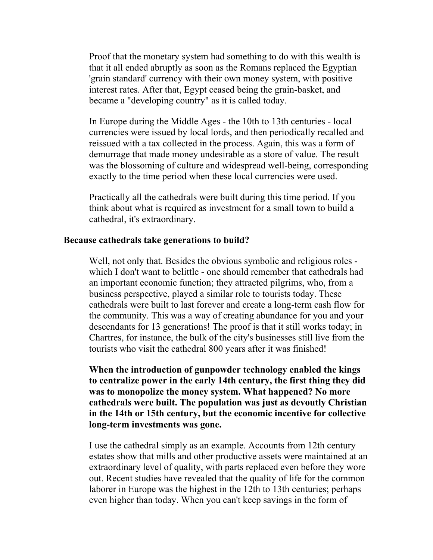Proof that the monetary system had something to do with this wealth is that it all ended abruptly as soon as the Romans replaced the Egyptian 'grain standard' currency with their own money system, with positive interest rates. After that, Egypt ceased being the grain-basket, and became a "developing country" as it is called today.

In Europe during the Middle Ages - the 10th to 13th centuries - local currencies were issued by local lords, and then periodically recalled and reissued with a tax collected in the process. Again, this was a form of demurrage that made money undesirable as a store of value. The result was the blossoming of culture and widespread well-being, corresponding exactly to the time period when these local currencies were used.

Practically all the cathedrals were built during this time period. If you think about what is required as investment for a small town to build a cathedral, it's extraordinary.

#### **Because cathedrals take generations to build?**

Well, not only that. Besides the obvious symbolic and religious roles which I don't want to belittle - one should remember that cathedrals had an important economic function; they attracted pilgrims, who, from a business perspective, played a similar role to tourists today. These cathedrals were built to last forever and create a long-term cash flow for the community. This was a way of creating abundance for you and your descendants for 13 generations! The proof is that it still works today; in Chartres, for instance, the bulk of the city's businesses still live from the tourists who visit the cathedral 800 years after it was finished!

**When the introduction of gunpowder technology enabled the kings to centralize power in the early 14th century, the first thing they did was to monopolize the money system. What happened? No more cathedrals were built. The population was just as devoutly Christian in the 14th or 15th century, but the economic incentive for collective long-term investments was gone.**

I use the cathedral simply as an example. Accounts from 12th century estates show that mills and other productive assets were maintained at an extraordinary level of quality, with parts replaced even before they wore out. Recent studies have revealed that the quality of life for the common laborer in Europe was the highest in the 12th to 13th centuries; perhaps even higher than today. When you can't keep savings in the form of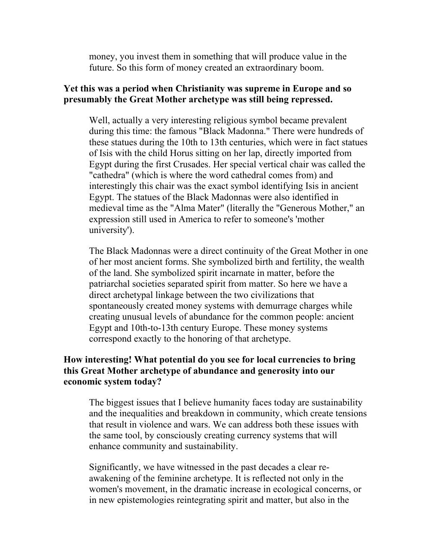money, you invest them in something that will produce value in the future. So this form of money created an extraordinary boom.

### **Yet this was a period when Christianity was supreme in Europe and so presumably the Great Mother archetype was still being repressed.**

Well, actually a very interesting religious symbol became prevalent during this time: the famous "Black Madonna." There were hundreds of these statues during the 10th to 13th centuries, which were in fact statues of Isis with the child Horus sitting on her lap, directly imported from Egypt during the first Crusades. Her special vertical chair was called the "cathedra" (which is where the word cathedral comes from) and interestingly this chair was the exact symbol identifying Isis in ancient Egypt. The statues of the Black Madonnas were also identified in medieval time as the "Alma Mater" (literally the "Generous Mother," an expression still used in America to refer to someone's 'mother university').

The Black Madonnas were a direct continuity of the Great Mother in one of her most ancient forms. She symbolized birth and fertility, the wealth of the land. She symbolized spirit incarnate in matter, before the patriarchal societies separated spirit from matter. So here we have a direct archetypal linkage between the two civilizations that spontaneously created money systems with demurrage charges while creating unusual levels of abundance for the common people: ancient Egypt and 10th-to-13th century Europe. These money systems correspond exactly to the honoring of that archetype.

## **How interesting! What potential do you see for local currencies to bring this Great Mother archetype of abundance and generosity into our economic system today?**

The biggest issues that I believe humanity faces today are sustainability and the inequalities and breakdown in community, which create tensions that result in violence and wars. We can address both these issues with the same tool, by consciously creating currency systems that will enhance community and sustainability.

Significantly, we have witnessed in the past decades a clear reawakening of the feminine archetype. It is reflected not only in the women's movement, in the dramatic increase in ecological concerns, or in new epistemologies reintegrating spirit and matter, but also in the